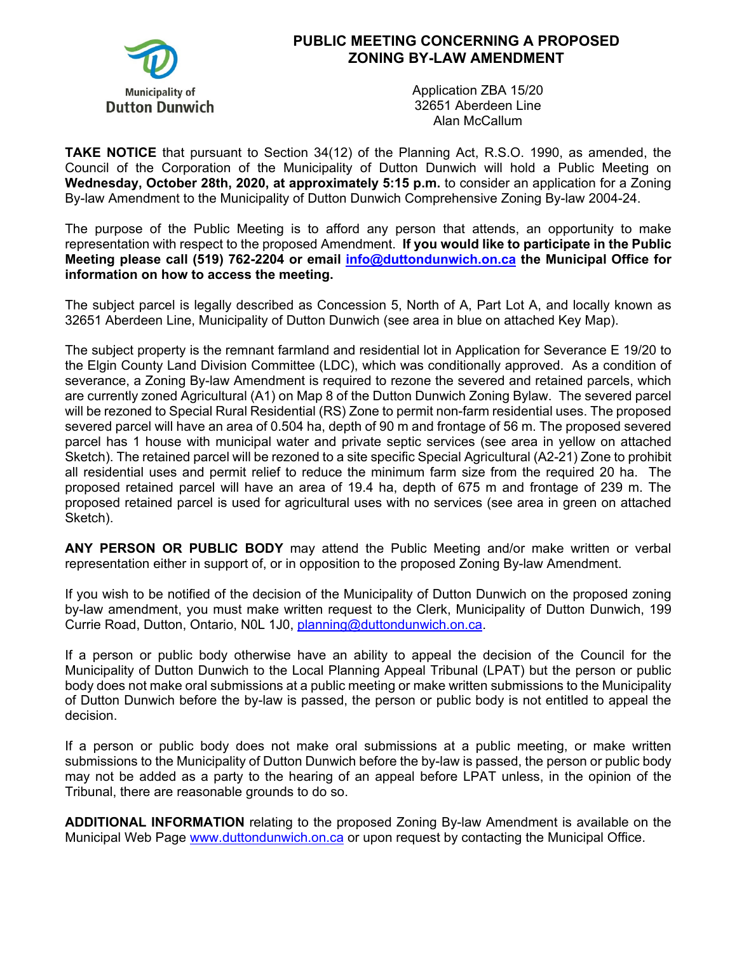

## **PUBLIC MEETING CONCERNING A PROPOSED ZONING BY-LAW AMENDMENT**

Application ZBA 15/20 32651 Aberdeen Line Alan McCallum

**TAKE NOTICE** that pursuant to Section 34(12) of the Planning Act, R.S.O. 1990, as amended, the Council of the Corporation of the Municipality of Dutton Dunwich will hold a Public Meeting on **Wednesday, October 28th, 2020, at approximately 5:15 p.m.** to consider an application for a Zoning By-law Amendment to the Municipality of Dutton Dunwich Comprehensive Zoning By-law 2004-24.

The purpose of the Public Meeting is to afford any person that attends, an opportunity to make representation with respect to the proposed Amendment. **If you would like to participate in the Public Meeting please call (519) 762-2204 or email info@duttondunwich.on.ca the Municipal Office for information on how to access the meeting.**

The subject parcel is legally described as Concession 5, North of A, Part Lot A, and locally known as 32651 Aberdeen Line, Municipality of Dutton Dunwich (see area in blue on attached Key Map).

The subject property is the remnant farmland and residential lot in Application for Severance E 19/20 to the Elgin County Land Division Committee (LDC), which was conditionally approved. As a condition of severance, a Zoning By-law Amendment is required to rezone the severed and retained parcels, which are currently zoned Agricultural (A1) on Map 8 of the Dutton Dunwich Zoning Bylaw. The severed parcel will be rezoned to Special Rural Residential (RS) Zone to permit non-farm residential uses. The proposed severed parcel will have an area of 0.504 ha, depth of 90 m and frontage of 56 m. The proposed severed parcel has 1 house with municipal water and private septic services (see area in yellow on attached Sketch). The retained parcel will be rezoned to a site specific Special Agricultural (A2-21) Zone to prohibit all residential uses and permit relief to reduce the minimum farm size from the required 20 ha. The proposed retained parcel will have an area of 19.4 ha, depth of 675 m and frontage of 239 m. The proposed retained parcel is used for agricultural uses with no services (see area in green on attached Sketch).

**ANY PERSON OR PUBLIC BODY** may attend the Public Meeting and/or make written or verbal representation either in support of, or in opposition to the proposed Zoning By-law Amendment.

If you wish to be notified of the decision of the Municipality of Dutton Dunwich on the proposed zoning by-law amendment, you must make written request to the Clerk, Municipality of Dutton Dunwich, 199 Currie Road, Dutton, Ontario, N0L 1J0, planning@duttondunwich.on.ca.

If a person or public body otherwise have an ability to appeal the decision of the Council for the Municipality of Dutton Dunwich to the Local Planning Appeal Tribunal (LPAT) but the person or public body does not make oral submissions at a public meeting or make written submissions to the Municipality of Dutton Dunwich before the by-law is passed, the person or public body is not entitled to appeal the decision.

If a person or public body does not make oral submissions at a public meeting, or make written submissions to the Municipality of Dutton Dunwich before the by-law is passed, the person or public body may not be added as a party to the hearing of an appeal before LPAT unless, in the opinion of the Tribunal, there are reasonable grounds to do so.

**ADDITIONAL INFORMATION** relating to the proposed Zoning By-law Amendment is available on the Municipal Web Page www.duttondunwich.on.ca or upon request by contacting the Municipal Office.